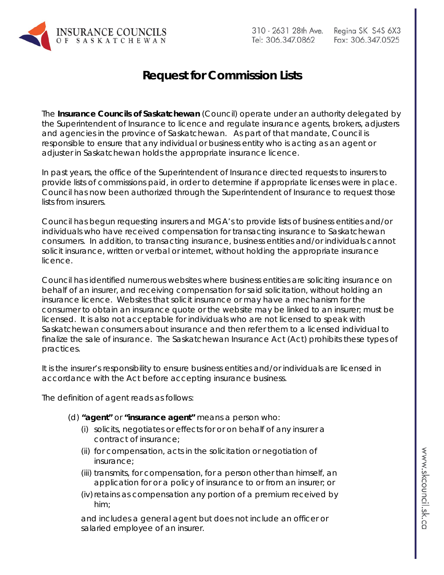

## **Request for Commission Lists**

The **Insurance Councils of Saskatchewan** (Council) operate under an authority delegated by the Superintendent of Insurance to licence and regulate insurance agents, brokers, adjusters and agencies in the province of Saskatchewan. As part of that mandate, Council is responsible to ensure that any individual or business entity who is acting as an agent or adjuster in Saskatchewan holds the appropriate insurance licence.

In past years, the office of the Superintendent of Insurance directed requests to insurers to provide lists of commissions paid, in order to determine if appropriate licenses were in place. Council has now been authorized through the Superintendent of Insurance to request those lists from insurers.

Council has begun requesting insurers and MGA's to provide lists of business entities and/or individuals who have received compensation for transacting insurance to Saskatchewan consumers. In addition, to transacting insurance, business entities and/or individuals cannot solicit insurance, written or verbal or internet, without holding the appropriate insurance licence.

Council has identified numerous websites where business entities are soliciting insurance on behalf of an insurer, and receiving compensation for said solicitation, without holding an insurance licence. Websites that solicit insurance or may have a mechanism for the consumer to obtain an insurance quote or the website may be linked to an insurer; must be licensed. It is also not acceptable for individuals who are not licensed to speak with Saskatchewan consumers about insurance and then refer them to a licensed individual to finalize the sale of insurance. *The Saskatchewan Insurance Act (Act)* prohibits these types of practices.

It is the insurer's responsibility to ensure business entities and/or individuals are licensed in accordance with the Act before accepting insurance business.

The definition of agent reads as follows:

- *(d) "agent" or "insurance agent" means a person who:*
	- *(i) solicits, negotiates or effects for or on behalf of any insurer a contract of insurance;*
	- *(ii) for compensation, acts in the solicitation or negotiation of insurance;*
	- *(iii) transmits, for compensation, for a person other than himself, an application for or a policy of insurance to or from an insurer; or*
	- *(iv)retains as compensation any portion of a premium received by him;*

*and includes a general agent but does not include an officer or salaried employee of an insurer.*